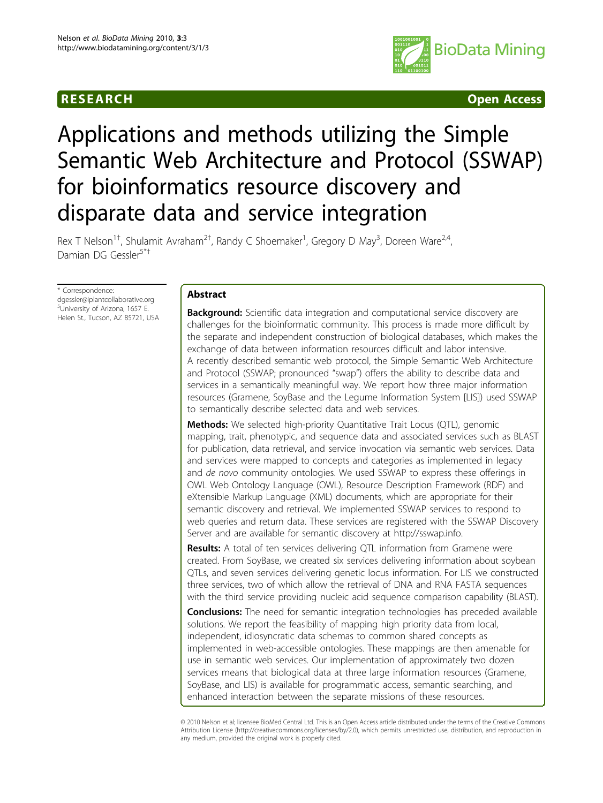

**RESEARCH CHRISTIAN CONSUMING A RESEARCH** CHRISTIAN CONSUMING A RESEARCH CHRISTIAN CONSUMING A RESEARCH CHRISTIAN

# Applications and methods utilizing the Simple Semantic Web Architecture and Protocol (SSWAP) for bioinformatics resource discovery and disparate data and service integration

Rex T Nelson<sup>1+</sup>, Shulamit Avraham<sup>2+</sup>, Randy C Shoemaker<sup>1</sup>, Gregory D May<sup>3</sup>, Doreen Ware<sup>2,4</sup>, Damian DG Gessler<sup>5\*†</sup>

\* Correspondence:

[dgessler@iplantcollaborative.org](mailto:dgessler@iplantcollaborative.org) 5 University of Arizona, 1657 E. Helen St., Tucson, AZ 85721, USA

# Abstract

**Background:** Scientific data integration and computational service discovery are challenges for the bioinformatic community. This process is made more difficult by the separate and independent construction of biological databases, which makes the exchange of data between information resources difficult and labor intensive. A recently described semantic web protocol, the Simple Semantic Web Architecture and Protocol (SSWAP; pronounced "swap") offers the ability to describe data and services in a semantically meaningful way. We report how three major information resources (Gramene, SoyBase and the Legume Information System [LIS]) used SSWAP to semantically describe selected data and web services.

Methods: We selected high-priority Quantitative Trait Locus (QTL), genomic mapping, trait, phenotypic, and sequence data and associated services such as BLAST for publication, data retrieval, and service invocation via semantic web services. Data and services were mapped to concepts and categories as implemented in legacy and de novo community ontologies. We used SSWAP to express these offerings in OWL Web Ontology Language (OWL), Resource Description Framework (RDF) and eXtensible Markup Language (XML) documents, which are appropriate for their semantic discovery and retrieval. We implemented SSWAP services to respond to web queries and return data. These services are registered with the SSWAP Discovery Server and are available for semantic discovery at [http://sswap.info.](http://sswap.info)

Results: A total of ten services delivering QTL information from Gramene were created. From SoyBase, we created six services delivering information about soybean QTLs, and seven services delivering genetic locus information. For LIS we constructed three services, two of which allow the retrieval of DNA and RNA FASTA sequences with the third service providing nucleic acid sequence comparison capability (BLAST).

**Conclusions:** The need for semantic integration technologies has preceded available solutions. We report the feasibility of mapping high priority data from local, independent, idiosyncratic data schemas to common shared concepts as implemented in web-accessible ontologies. These mappings are then amenable for use in semantic web services. Our implementation of approximately two dozen services means that biological data at three large information resources (Gramene, SoyBase, and LIS) is available for programmatic access, semantic searching, and enhanced interaction between the separate missions of these resources.

© 2010 Nelson et al; licensee BioMed Central Ltd. This is an Open Access article distributed under the terms of the Creative Commons Attribution License [\(http://creativecommons.org/licenses/by/2.0](http://creativecommons.org/licenses/by/2.0)), which permits unrestricted use, distribution, and reproduction in any medium, provided the original work is properly cited.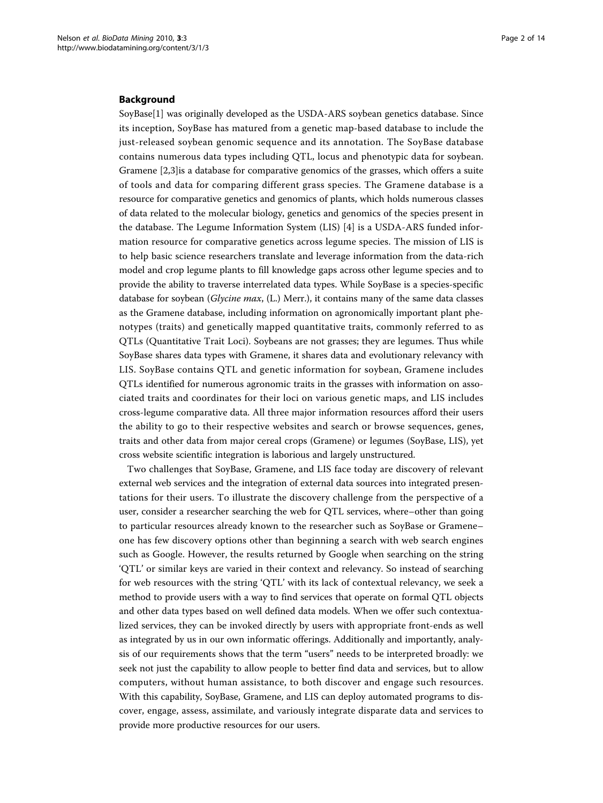# Background

SoyBase[[1\]](#page-12-0) was originally developed as the USDA-ARS soybean genetics database. Since its inception, SoyBase has matured from a genetic map-based database to include the just-released soybean genomic sequence and its annotation. The SoyBase database contains numerous data types including QTL, locus and phenotypic data for soybean. Gramene [\[2,3](#page-12-0)]is a database for comparative genomics of the grasses, which offers a suite of tools and data for comparing different grass species. The Gramene database is a resource for comparative genetics and genomics of plants, which holds numerous classes of data related to the molecular biology, genetics and genomics of the species present in the database. The Legume Information System (LIS) [\[4](#page-12-0)] is a USDA-ARS funded information resource for comparative genetics across legume species. The mission of LIS is to help basic science researchers translate and leverage information from the data-rich model and crop legume plants to fill knowledge gaps across other legume species and to provide the ability to traverse interrelated data types. While SoyBase is a species-specific database for soybean (*Glycine max*, (L.) Merr.), it contains many of the same data classes as the Gramene database, including information on agronomically important plant phenotypes (traits) and genetically mapped quantitative traits, commonly referred to as QTLs (Quantitative Trait Loci). Soybeans are not grasses; they are legumes. Thus while SoyBase shares data types with Gramene, it shares data and evolutionary relevancy with LIS. SoyBase contains QTL and genetic information for soybean, Gramene includes QTLs identified for numerous agronomic traits in the grasses with information on associated traits and coordinates for their loci on various genetic maps, and LIS includes cross-legume comparative data. All three major information resources afford their users the ability to go to their respective websites and search or browse sequences, genes, traits and other data from major cereal crops (Gramene) or legumes (SoyBase, LIS), yet cross website scientific integration is laborious and largely unstructured.

Two challenges that SoyBase, Gramene, and LIS face today are discovery of relevant external web services and the integration of external data sources into integrated presentations for their users. To illustrate the discovery challenge from the perspective of a user, consider a researcher searching the web for QTL services, where–other than going to particular resources already known to the researcher such as SoyBase or Gramene– one has few discovery options other than beginning a search with web search engines such as Google. However, the results returned by Google when searching on the string 'QTL' or similar keys are varied in their context and relevancy. So instead of searching for web resources with the string 'QTL' with its lack of contextual relevancy, we seek a method to provide users with a way to find services that operate on formal QTL objects and other data types based on well defined data models. When we offer such contextualized services, they can be invoked directly by users with appropriate front-ends as well as integrated by us in our own informatic offerings. Additionally and importantly, analysis of our requirements shows that the term "users" needs to be interpreted broadly: we seek not just the capability to allow people to better find data and services, but to allow computers, without human assistance, to both discover and engage such resources. With this capability, SoyBase, Gramene, and LIS can deploy automated programs to discover, engage, assess, assimilate, and variously integrate disparate data and services to provide more productive resources for our users.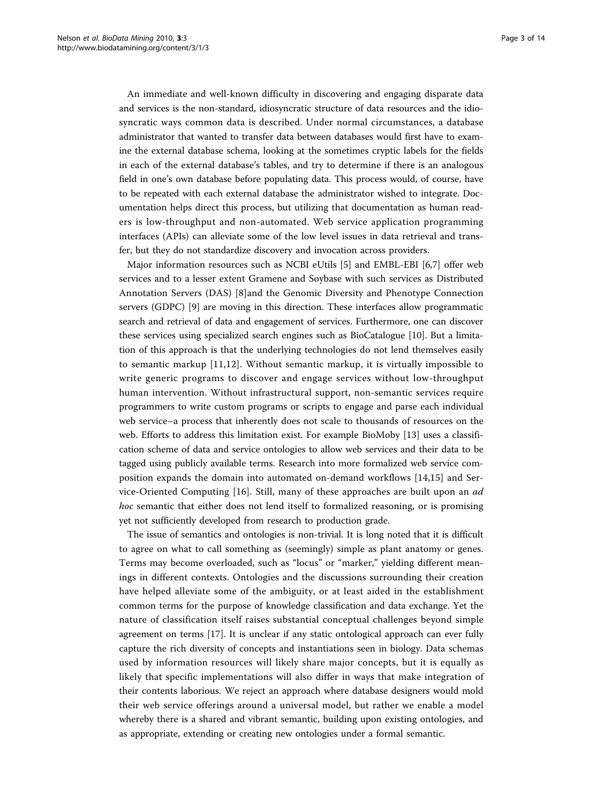An immediate and well-known difficulty in discovering and engaging disparate data and services is the non-standard, idiosyncratic structure of data resources and the idiosyncratic ways common data is described. Under normal circumstances, a database administrator that wanted to transfer data between databases would first have to examine the external database schema, looking at the sometimes cryptic labels for the fields in each of the external database's tables, and try to determine if there is an analogous field in one's own database before populating data. This process would, of course, have to be repeated with each external database the administrator wished to integrate. Documentation helps direct this process, but utilizing that documentation as human readers is low-throughput and non-automated. Web service application programming interfaces (APIs) can alleviate some of the low level issues in data retrieval and transfer, but they do not standardize discovery and invocation across providers.

Major information resources such as NCBI eUtils [\[5](#page-12-0)] and EMBL-EBI [\[6,7](#page-12-0)] offer web services and to a lesser extent Gramene and Soybase with such services as Distributed Annotation Servers (DAS) [[8\]](#page-12-0)and the Genomic Diversity and Phenotype Connection servers (GDPC) [\[9](#page-12-0)] are moving in this direction. These interfaces allow programmatic search and retrieval of data and engagement of services. Furthermore, one can discover these services using specialized search engines such as BioCatalogue [[10\]](#page-12-0). But a limitation of this approach is that the underlying technologies do not lend themselves easily to semantic markup [[11,12\]](#page-12-0). Without semantic markup, it is virtually impossible to write generic programs to discover and engage services without low-throughput human intervention. Without infrastructural support, non-semantic services require programmers to write custom programs or scripts to engage and parse each individual web service–a process that inherently does not scale to thousands of resources on the web. Efforts to address this limitation exist. For example BioMoby [[13\]](#page-12-0) uses a classification scheme of data and service ontologies to allow web services and their data to be tagged using publicly available terms. Research into more formalized web service composition expands the domain into automated on-demand workflows [[14,](#page-12-0)[15](#page-13-0)] and Ser-vice-Oriented Computing [\[16](#page-13-0)]. Still, many of these approaches are built upon an *ad* hoc semantic that either does not lend itself to formalized reasoning, or is promising yet not sufficiently developed from research to production grade.

The issue of semantics and ontologies is non-trivial. It is long noted that it is difficult to agree on what to call something as (seemingly) simple as plant anatomy or genes. Terms may become overloaded, such as "locus" or "marker," yielding different meanings in different contexts. Ontologies and the discussions surrounding their creation have helped alleviate some of the ambiguity, or at least aided in the establishment common terms for the purpose of knowledge classification and data exchange. Yet the nature of classification itself raises substantial conceptual challenges beyond simple agreement on terms [[17\]](#page-13-0). It is unclear if any static ontological approach can ever fully capture the rich diversity of concepts and instantiations seen in biology. Data schemas used by information resources will likely share major concepts, but it is equally as likely that specific implementations will also differ in ways that make integration of their contents laborious. We reject an approach where database designers would mold their web service offerings around a universal model, but rather we enable a model whereby there is a shared and vibrant semantic, building upon existing ontologies, and as appropriate, extending or creating new ontologies under a formal semantic.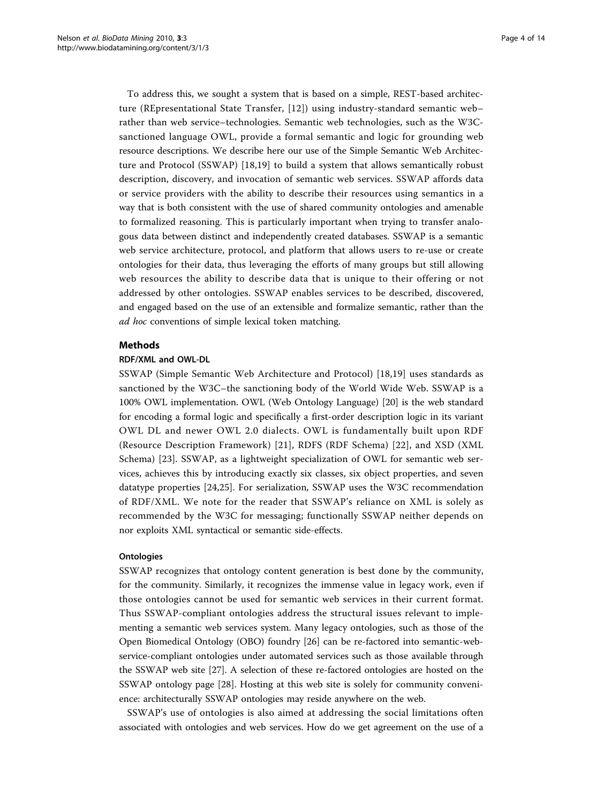To address this, we sought a system that is based on a simple, REST-based architecture (REpresentational State Transfer, [[12\]](#page-12-0)) using industry-standard semantic web– rather than web service–technologies. Semantic web technologies, such as the W3Csanctioned language OWL, provide a formal semantic and logic for grounding web resource descriptions. We describe here our use of the Simple Semantic Web Architecture and Protocol (SSWAP) [[18,19](#page-13-0)] to build a system that allows semantically robust description, discovery, and invocation of semantic web services. SSWAP affords data or service providers with the ability to describe their resources using semantics in a way that is both consistent with the use of shared community ontologies and amenable to formalized reasoning. This is particularly important when trying to transfer analogous data between distinct and independently created databases. SSWAP is a semantic web service architecture, protocol, and platform that allows users to re-use or create ontologies for their data, thus leveraging the efforts of many groups but still allowing web resources the ability to describe data that is unique to their offering or not addressed by other ontologies. SSWAP enables services to be described, discovered, and engaged based on the use of an extensible and formalize semantic, rather than the ad hoc conventions of simple lexical token matching.

# Methods

### RDF/XML and OWL-DL

SSWAP (Simple Semantic Web Architecture and Protocol) [\[18](#page-13-0),[19\]](#page-13-0) uses standards as sanctioned by the W3C–the sanctioning body of the World Wide Web. SSWAP is a 100% OWL implementation. OWL (Web Ontology Language) [[20\]](#page-13-0) is the web standard for encoding a formal logic and specifically a first-order description logic in its variant OWL DL and newer OWL 2.0 dialects. OWL is fundamentally built upon RDF (Resource Description Framework) [[21](#page-13-0)], RDFS (RDF Schema) [[22](#page-13-0)], and XSD (XML Schema) [[23\]](#page-13-0). SSWAP, as a lightweight specialization of OWL for semantic web services, achieves this by introducing exactly six classes, six object properties, and seven datatype properties [[24,25\]](#page-13-0). For serialization, SSWAP uses the W3C recommendation of RDF/XML. We note for the reader that SSWAP's reliance on XML is solely as recommended by the W3C for messaging; functionally SSWAP neither depends on nor exploits XML syntactical or semantic side-effects.

#### **Ontologies**

SSWAP recognizes that ontology content generation is best done by the community, for the community. Similarly, it recognizes the immense value in legacy work, even if those ontologies cannot be used for semantic web services in their current format. Thus SSWAP-compliant ontologies address the structural issues relevant to implementing a semantic web services system. Many legacy ontologies, such as those of the Open Biomedical Ontology (OBO) foundry [\[26\]](#page-13-0) can be re-factored into semantic-webservice-compliant ontologies under automated services such as those available through the SSWAP web site [\[27\]](#page-13-0). A selection of these re-factored ontologies are hosted on the SSWAP ontology page [\[28](#page-13-0)]. Hosting at this web site is solely for community convenience: architecturally SSWAP ontologies may reside anywhere on the web.

SSWAP's use of ontologies is also aimed at addressing the social limitations often associated with ontologies and web services. How do we get agreement on the use of a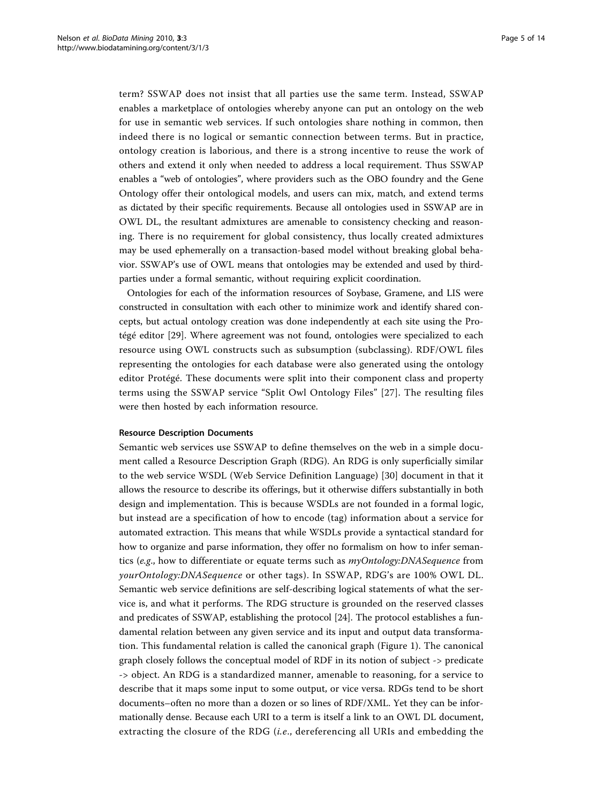term? SSWAP does not insist that all parties use the same term. Instead, SSWAP enables a marketplace of ontologies whereby anyone can put an ontology on the web for use in semantic web services. If such ontologies share nothing in common, then indeed there is no logical or semantic connection between terms. But in practice, ontology creation is laborious, and there is a strong incentive to reuse the work of others and extend it only when needed to address a local requirement. Thus SSWAP enables a "web of ontologies", where providers such as the OBO foundry and the Gene Ontology offer their ontological models, and users can mix, match, and extend terms as dictated by their specific requirements. Because all ontologies used in SSWAP are in OWL DL, the resultant admixtures are amenable to consistency checking and reasoning. There is no requirement for global consistency, thus locally created admixtures may be used ephemerally on a transaction-based model without breaking global behavior. SSWAP's use of OWL means that ontologies may be extended and used by thirdparties under a formal semantic, without requiring explicit coordination.

Ontologies for each of the information resources of Soybase, Gramene, and LIS were constructed in consultation with each other to minimize work and identify shared concepts, but actual ontology creation was done independently at each site using the Protégé editor [[29\]](#page-13-0). Where agreement was not found, ontologies were specialized to each resource using OWL constructs such as subsumption (subclassing). RDF/OWL files representing the ontologies for each database were also generated using the ontology editor Protégé. These documents were split into their component class and property terms using the SSWAP service "Split Owl Ontology Files" [[27](#page-13-0)]. The resulting files were then hosted by each information resource.

#### Resource Description Documents

Semantic web services use SSWAP to define themselves on the web in a simple document called a Resource Description Graph (RDG). An RDG is only superficially similar to the web service WSDL (Web Service Definition Language) [[30](#page-13-0)] document in that it allows the resource to describe its offerings, but it otherwise differs substantially in both design and implementation. This is because WSDLs are not founded in a formal logic, but instead are a specification of how to encode (tag) information about a service for automated extraction. This means that while WSDLs provide a syntactical standard for how to organize and parse information, they offer no formalism on how to infer semantics (e.g., how to differentiate or equate terms such as myOntology:DNASequence from yourOntology:DNASequence or other tags). In SSWAP, RDG's are 100% OWL DL. Semantic web service definitions are self-describing logical statements of what the service is, and what it performs. The RDG structure is grounded on the reserved classes and predicates of SSWAP, establishing the protocol [[24](#page-13-0)]. The protocol establishes a fundamental relation between any given service and its input and output data transformation. This fundamental relation is called the canonical graph (Figure [1](#page-5-0)). The canonical graph closely follows the conceptual model of RDF in its notion of subject -> predicate -> object. An RDG is a standardized manner, amenable to reasoning, for a service to describe that it maps some input to some output, or vice versa. RDGs tend to be short documents–often no more than a dozen or so lines of RDF/XML. Yet they can be informationally dense. Because each URI to a term is itself a link to an OWL DL document, extracting the closure of the RDG (i.e., dereferencing all URIs and embedding the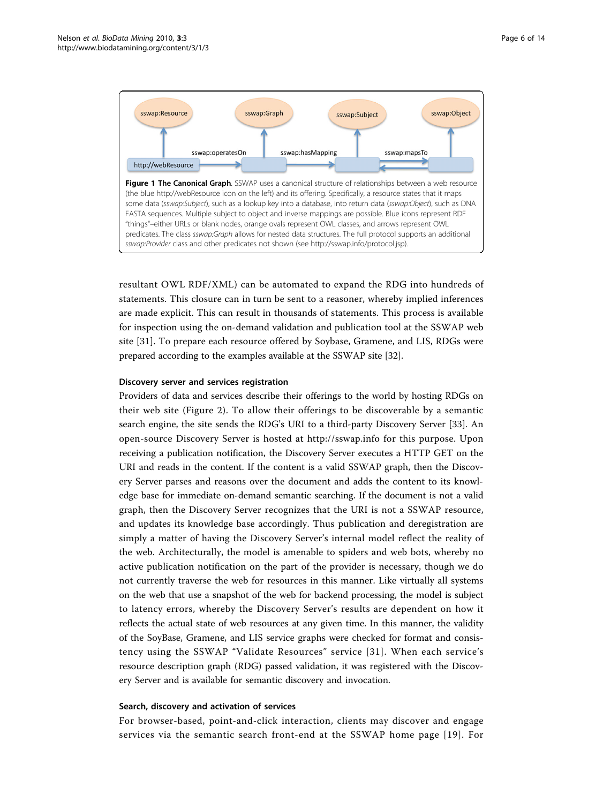<span id="page-5-0"></span>

resultant OWL RDF/XML) can be automated to expand the RDG into hundreds of statements. This closure can in turn be sent to a reasoner, whereby implied inferences are made explicit. This can result in thousands of statements. This process is available for inspection using the on-demand validation and publication tool at the SSWAP web site [\[31](#page-13-0)]. To prepare each resource offered by Soybase, Gramene, and LIS, RDGs were prepared according to the examples available at the SSWAP site [\[32](#page-13-0)].

# Discovery server and services registration

Providers of data and services describe their offerings to the world by hosting RDGs on their web site (Figure [2\)](#page-6-0). To allow their offerings to be discoverable by a semantic search engine, the site sends the RDG's URI to a third-party Discovery Server [[33\]](#page-13-0). An open-source Discovery Server is hosted at <http://sswap.info> for this purpose. Upon receiving a publication notification, the Discovery Server executes a HTTP GET on the URI and reads in the content. If the content is a valid SSWAP graph, then the Discovery Server parses and reasons over the document and adds the content to its knowledge base for immediate on-demand semantic searching. If the document is not a valid graph, then the Discovery Server recognizes that the URI is not a SSWAP resource, and updates its knowledge base accordingly. Thus publication and deregistration are simply a matter of having the Discovery Server's internal model reflect the reality of the web. Architecturally, the model is amenable to spiders and web bots, whereby no active publication notification on the part of the provider is necessary, though we do not currently traverse the web for resources in this manner. Like virtually all systems on the web that use a snapshot of the web for backend processing, the model is subject to latency errors, whereby the Discovery Server's results are dependent on how it reflects the actual state of web resources at any given time. In this manner, the validity of the SoyBase, Gramene, and LIS service graphs were checked for format and consistency using the SSWAP "Validate Resources" service [[31](#page-13-0)]. When each service's resource description graph (RDG) passed validation, it was registered with the Discovery Server and is available for semantic discovery and invocation.

# Search, discovery and activation of services

For browser-based, point-and-click interaction, clients may discover and engage services via the semantic search front-end at the SSWAP home page [[19\]](#page-13-0). For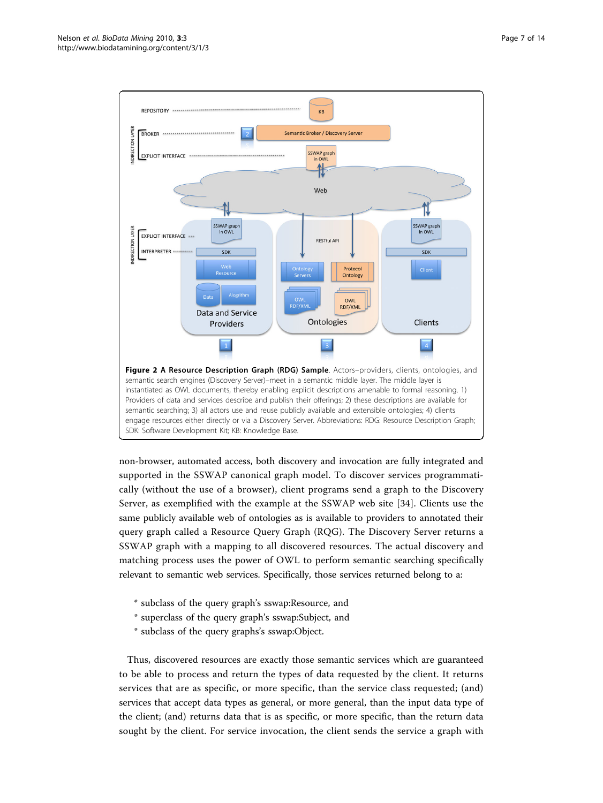<span id="page-6-0"></span>

non-browser, automated access, both discovery and invocation are fully integrated and supported in the SSWAP canonical graph model. To discover services programmatically (without the use of a browser), client programs send a graph to the Discovery Server, as exemplified with the example at the SSWAP web site [\[34](#page-13-0)]. Clients use the same publicly available web of ontologies as is available to providers to annotated their query graph called a Resource Query Graph (RQG). The Discovery Server returns a SSWAP graph with a mapping to all discovered resources. The actual discovery and matching process uses the power of OWL to perform semantic searching specifically relevant to semantic web services. Specifically, those services returned belong to a:

- \* subclass of the query graph's sswap:Resource, and
- \* superclass of the query graph's sswap:Subject, and
- \* subclass of the query graphs's sswap:Object.

Thus, discovered resources are exactly those semantic services which are guaranteed to be able to process and return the types of data requested by the client. It returns services that are as specific, or more specific, than the service class requested; (and) services that accept data types as general, or more general, than the input data type of the client; (and) returns data that is as specific, or more specific, than the return data sought by the client. For service invocation, the client sends the service a graph with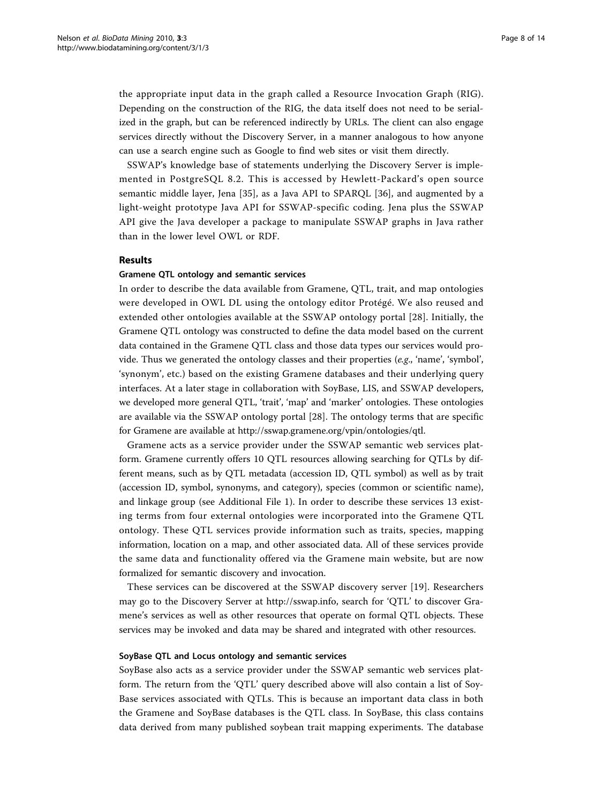the appropriate input data in the graph called a Resource Invocation Graph (RIG). Depending on the construction of the RIG, the data itself does not need to be serialized in the graph, but can be referenced indirectly by URLs. The client can also engage services directly without the Discovery Server, in a manner analogous to how anyone can use a search engine such as Google to find web sites or visit them directly.

SSWAP's knowledge base of statements underlying the Discovery Server is implemented in PostgreSQL 8.2. This is accessed by Hewlett-Packard's open source semantic middle layer, Jena [[35\]](#page-13-0), as a Java API to SPARQL [\[36](#page-13-0)], and augmented by a light-weight prototype Java API for SSWAP-specific coding. Jena plus the SSWAP API give the Java developer a package to manipulate SSWAP graphs in Java rather than in the lower level OWL or RDF.

# Results

## Gramene QTL ontology and semantic services

In order to describe the data available from Gramene, QTL, trait, and map ontologies were developed in OWL DL using the ontology editor Protégé. We also reused and extended other ontologies available at the SSWAP ontology portal [\[28\]](#page-13-0). Initially, the Gramene QTL ontology was constructed to define the data model based on the current data contained in the Gramene QTL class and those data types our services would provide. Thus we generated the ontology classes and their properties (e.g., 'name', 'symbol', 'synonym', etc.) based on the existing Gramene databases and their underlying query interfaces. At a later stage in collaboration with SoyBase, LIS, and SSWAP developers, we developed more general QTL, 'trait', 'map' and 'marker' ontologies. These ontologies are available via the SSWAP ontology portal [\[28](#page-13-0)]. The ontology terms that are specific for Gramene are available at<http://sswap.gramene.org/vpin/ontologies/qtl>.

Gramene acts as a service provider under the SSWAP semantic web services platform. Gramene currently offers 10 QTL resources allowing searching for QTLs by different means, such as by QTL metadata (accession ID, QTL symbol) as well as by trait (accession ID, symbol, synonyms, and category), species (common or scientific name), and linkage group (see Additional File [1](#page-12-0)). In order to describe these services 13 existing terms from four external ontologies were incorporated into the Gramene QTL ontology. These QTL services provide information such as traits, species, mapping information, location on a map, and other associated data. All of these services provide the same data and functionality offered via the Gramene main website, but are now formalized for semantic discovery and invocation.

These services can be discovered at the SSWAP discovery server [[19\]](#page-13-0). Researchers may go to the Discovery Server at<http://sswap.info>, search for 'QTL' to discover Gramene's services as well as other resources that operate on formal QTL objects. These services may be invoked and data may be shared and integrated with other resources.

# SoyBase QTL and Locus ontology and semantic services

SoyBase also acts as a service provider under the SSWAP semantic web services platform. The return from the 'QTL' query described above will also contain a list of Soy-Base services associated with QTLs. This is because an important data class in both the Gramene and SoyBase databases is the QTL class. In SoyBase, this class contains data derived from many published soybean trait mapping experiments. The database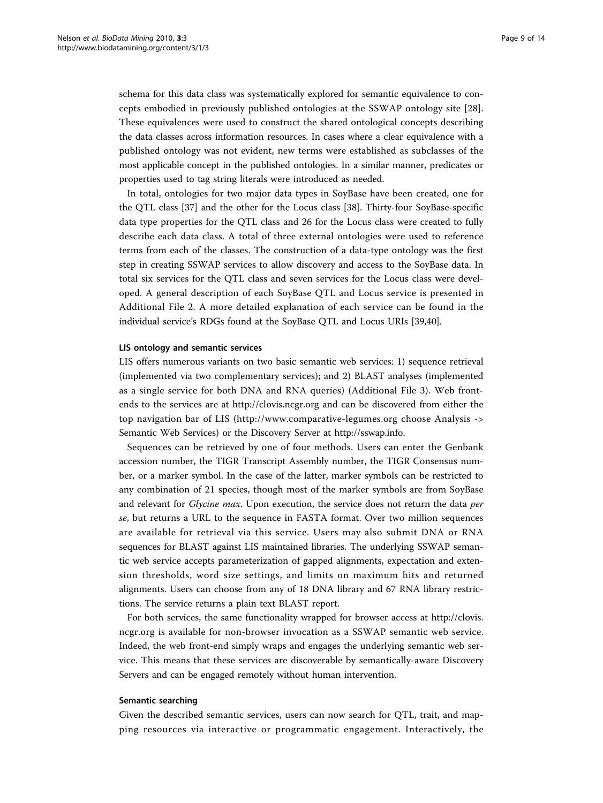schema for this data class was systematically explored for semantic equivalence to concepts embodied in previously published ontologies at the SSWAP ontology site [[28](#page-13-0)]. These equivalences were used to construct the shared ontological concepts describing the data classes across information resources. In cases where a clear equivalence with a published ontology was not evident, new terms were established as subclasses of the most applicable concept in the published ontologies. In a similar manner, predicates or properties used to tag string literals were introduced as needed.

In total, ontologies for two major data types in SoyBase have been created, one for the QTL class [\[37](#page-13-0)] and the other for the Locus class [[38](#page-13-0)]. Thirty-four SoyBase-specific data type properties for the QTL class and 26 for the Locus class were created to fully describe each data class. A total of three external ontologies were used to reference terms from each of the classes. The construction of a data-type ontology was the first step in creating SSWAP services to allow discovery and access to the SoyBase data. In total six services for the QTL class and seven services for the Locus class were developed. A general description of each SoyBase QTL and Locus service is presented in Additional File [2.](#page-12-0) A more detailed explanation of each service can be found in the individual service's RDGs found at the SoyBase QTL and Locus URIs [[39,40](#page-13-0)].

# LIS ontology and semantic services

LIS offers numerous variants on two basic semantic web services: 1) sequence retrieval (implemented via two complementary services); and 2) BLAST analyses (implemented as a single service for both DNA and RNA queries) (Additional File [3](#page-12-0)). Web frontends to the services are at<http://clovis.ncgr.org> and can be discovered from either the top navigation bar of LIS (<http://www.comparative-legumes.org> choose Analysis -> Semantic Web Services) or the Discovery Server at<http://sswap.info>.

Sequences can be retrieved by one of four methods. Users can enter the Genbank accession number, the TIGR Transcript Assembly number, the TIGR Consensus number, or a marker symbol. In the case of the latter, marker symbols can be restricted to any combination of 21 species, though most of the marker symbols are from SoyBase and relevant for Glycine max. Upon execution, the service does not return the data per se, but returns a URL to the sequence in FASTA format. Over two million sequences are available for retrieval via this service. Users may also submit DNA or RNA sequences for BLAST against LIS maintained libraries. The underlying SSWAP semantic web service accepts parameterization of gapped alignments, expectation and extension thresholds, word size settings, and limits on maximum hits and returned alignments. Users can choose from any of 18 DNA library and 67 RNA library restrictions. The service returns a plain text BLAST report.

For both services, the same functionality wrapped for browser access at [http://clovis.](http://clovis.ncgr.org) [ncgr.org](http://clovis.ncgr.org) is available for non-browser invocation as a SSWAP semantic web service. Indeed, the web front-end simply wraps and engages the underlying semantic web service. This means that these services are discoverable by semantically-aware Discovery Servers and can be engaged remotely without human intervention.

### Semantic searching

Given the described semantic services, users can now search for QTL, trait, and mapping resources via interactive or programmatic engagement. Interactively, the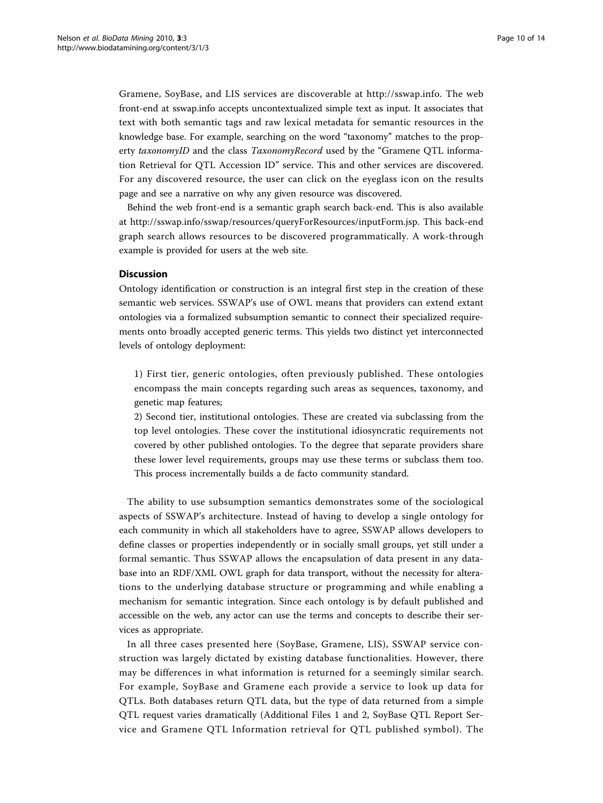Gramene, SoyBase, and LIS services are discoverable at<http://sswap.info>. The web front-end at sswap.info accepts uncontextualized simple text as input. It associates that text with both semantic tags and raw lexical metadata for semantic resources in the knowledge base. For example, searching on the word "taxonomy" matches to the property taxonomyID and the class TaxonomyRecord used by the "Gramene QTL information Retrieval for QTL Accession ID" service. This and other services are discovered. For any discovered resource, the user can click on the eyeglass icon on the results page and see a narrative on why any given resource was discovered.

Behind the web front-end is a semantic graph search back-end. This is also available at [http://sswap.info/sswap/resources/queryForResources/inputForm.jsp.](http://sswap.info/sswap/resources/queryForResources/inputForm.jsp) This back-end graph search allows resources to be discovered programmatically. A work-through example is provided for users at the web site.

# **Discussion**

Ontology identification or construction is an integral first step in the creation of these semantic web services. SSWAP's use of OWL means that providers can extend extant ontologies via a formalized subsumption semantic to connect their specialized requirements onto broadly accepted generic terms. This yields two distinct yet interconnected levels of ontology deployment:

1) First tier, generic ontologies, often previously published. These ontologies encompass the main concepts regarding such areas as sequences, taxonomy, and genetic map features;

2) Second tier, institutional ontologies. These are created via subclassing from the top level ontologies. These cover the institutional idiosyncratic requirements not covered by other published ontologies. To the degree that separate providers share these lower level requirements, groups may use these terms or subclass them too. This process incrementally builds a de facto community standard.

The ability to use subsumption semantics demonstrates some of the sociological aspects of SSWAP's architecture. Instead of having to develop a single ontology for each community in which all stakeholders have to agree, SSWAP allows developers to define classes or properties independently or in socially small groups, yet still under a formal semantic. Thus SSWAP allows the encapsulation of data present in any database into an RDF/XML OWL graph for data transport, without the necessity for alterations to the underlying database structure or programming and while enabling a mechanism for semantic integration. Since each ontology is by default published and accessible on the web, any actor can use the terms and concepts to describe their services as appropriate.

In all three cases presented here (SoyBase, Gramene, LIS), SSWAP service construction was largely dictated by existing database functionalities. However, there may be differences in what information is returned for a seemingly similar search. For example, SoyBase and Gramene each provide a service to look up data for QTLs. Both databases return QTL data, but the type of data returned from a simple QTL request varies dramatically (Additional Files [1](#page-12-0) and [2,](#page-12-0) SoyBase QTL Report Service and Gramene QTL Information retrieval for QTL published symbol). The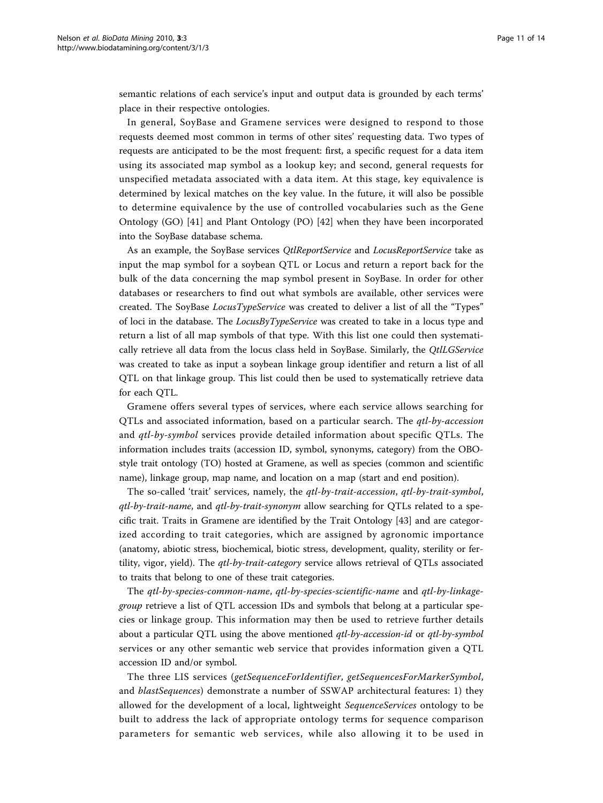semantic relations of each service's input and output data is grounded by each terms' place in their respective ontologies.

In general, SoyBase and Gramene services were designed to respond to those requests deemed most common in terms of other sites' requesting data. Two types of requests are anticipated to be the most frequent: first, a specific request for a data item using its associated map symbol as a lookup key; and second, general requests for unspecified metadata associated with a data item. At this stage, key equivalence is determined by lexical matches on the key value. In the future, it will also be possible to determine equivalence by the use of controlled vocabularies such as the Gene Ontology (GO) [[41\]](#page-13-0) and Plant Ontology (PO) [\[42](#page-13-0)] when they have been incorporated into the SoyBase database schema.

As an example, the SoyBase services QtlReportService and LocusReportService take as input the map symbol for a soybean QTL or Locus and return a report back for the bulk of the data concerning the map symbol present in SoyBase. In order for other databases or researchers to find out what symbols are available, other services were created. The SoyBase LocusTypeService was created to deliver a list of all the "Types" of loci in the database. The  $LocusByTypeService$  was created to take in a locus type and return a list of all map symbols of that type. With this list one could then systematically retrieve all data from the locus class held in SoyBase. Similarly, the QtlLGService was created to take as input a soybean linkage group identifier and return a list of all QTL on that linkage group. This list could then be used to systematically retrieve data for each QTL.

Gramene offers several types of services, where each service allows searching for QTLs and associated information, based on a particular search. The qtl-by-accession and qtl-by-symbol services provide detailed information about specific QTLs. The information includes traits (accession ID, symbol, synonyms, category) from the OBOstyle trait ontology (TO) hosted at Gramene, as well as species (common and scientific name), linkage group, map name, and location on a map (start and end position).

The so-called 'trait' services, namely, the qtl-by-trait-accession, qtl-by-trait-symbol, qtl-by-trait-name, and qtl-by-trait-synonym allow searching for QTLs related to a specific trait. Traits in Gramene are identified by the Trait Ontology [[43\]](#page-13-0) and are categorized according to trait categories, which are assigned by agronomic importance (anatomy, abiotic stress, biochemical, biotic stress, development, quality, sterility or fertility, vigor, yield). The qtl-by-trait-category service allows retrieval of QTLs associated to traits that belong to one of these trait categories.

The qtl-by-species-common-name, qtl-by-species-scientific-name and qtl-by-linkagegroup retrieve a list of QTL accession IDs and symbols that belong at a particular species or linkage group. This information may then be used to retrieve further details about a particular QTL using the above mentioned  $qtl$ -by-accession-id or  $qtl$ -by-symbol services or any other semantic web service that provides information given a QTL accession ID and/or symbol.

The three LIS services (getSequenceForIdentifier, getSequencesForMarkerSymbol, and *blastSequences*) demonstrate a number of SSWAP architectural features: 1) they allowed for the development of a local, lightweight SequenceServices ontology to be built to address the lack of appropriate ontology terms for sequence comparison parameters for semantic web services, while also allowing it to be used in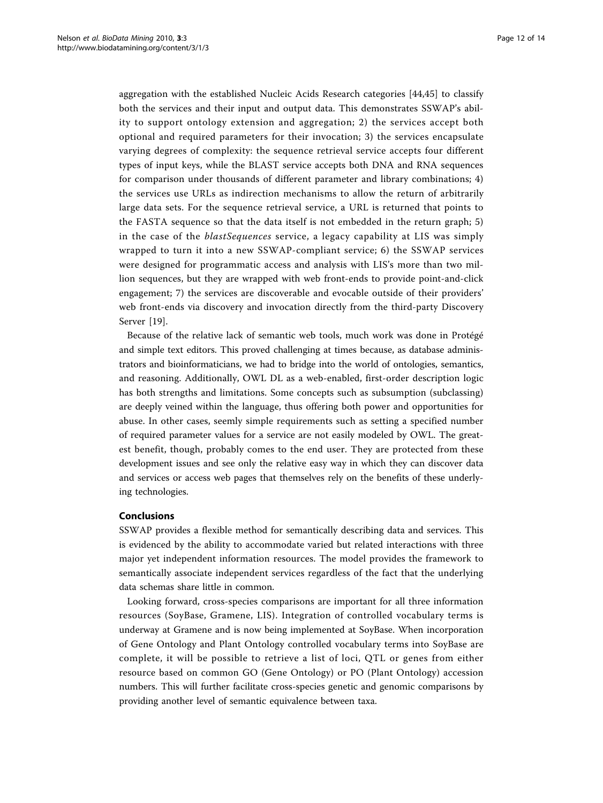aggregation with the established Nucleic Acids Research categories [\[44](#page-13-0),[45\]](#page-13-0) to classify both the services and their input and output data. This demonstrates SSWAP's ability to support ontology extension and aggregation; 2) the services accept both optional and required parameters for their invocation; 3) the services encapsulate varying degrees of complexity: the sequence retrieval service accepts four different types of input keys, while the BLAST service accepts both DNA and RNA sequences for comparison under thousands of different parameter and library combinations; 4) the services use URLs as indirection mechanisms to allow the return of arbitrarily large data sets. For the sequence retrieval service, a URL is returned that points to the FASTA sequence so that the data itself is not embedded in the return graph; 5) in the case of the *blastSequences* service, a legacy capability at LIS was simply wrapped to turn it into a new SSWAP-compliant service; 6) the SSWAP services were designed for programmatic access and analysis with LIS's more than two million sequences, but they are wrapped with web front-ends to provide point-and-click engagement; 7) the services are discoverable and evocable outside of their providers' web front-ends via discovery and invocation directly from the third-party Discovery Server [\[19](#page-13-0)].

Because of the relative lack of semantic web tools, much work was done in Protégé and simple text editors. This proved challenging at times because, as database administrators and bioinformaticians, we had to bridge into the world of ontologies, semantics, and reasoning. Additionally, OWL DL as a web-enabled, first-order description logic has both strengths and limitations. Some concepts such as subsumption (subclassing) are deeply veined within the language, thus offering both power and opportunities for abuse. In other cases, seemly simple requirements such as setting a specified number of required parameter values for a service are not easily modeled by OWL. The greatest benefit, though, probably comes to the end user. They are protected from these development issues and see only the relative easy way in which they can discover data and services or access web pages that themselves rely on the benefits of these underlying technologies.

# Conclusions

SSWAP provides a flexible method for semantically describing data and services. This is evidenced by the ability to accommodate varied but related interactions with three major yet independent information resources. The model provides the framework to semantically associate independent services regardless of the fact that the underlying data schemas share little in common.

Looking forward, cross-species comparisons are important for all three information resources (SoyBase, Gramene, LIS). Integration of controlled vocabulary terms is underway at Gramene and is now being implemented at SoyBase. When incorporation of Gene Ontology and Plant Ontology controlled vocabulary terms into SoyBase are complete, it will be possible to retrieve a list of loci, QTL or genes from either resource based on common GO (Gene Ontology) or PO (Plant Ontology) accession numbers. This will further facilitate cross-species genetic and genomic comparisons by providing another level of semantic equivalence between taxa.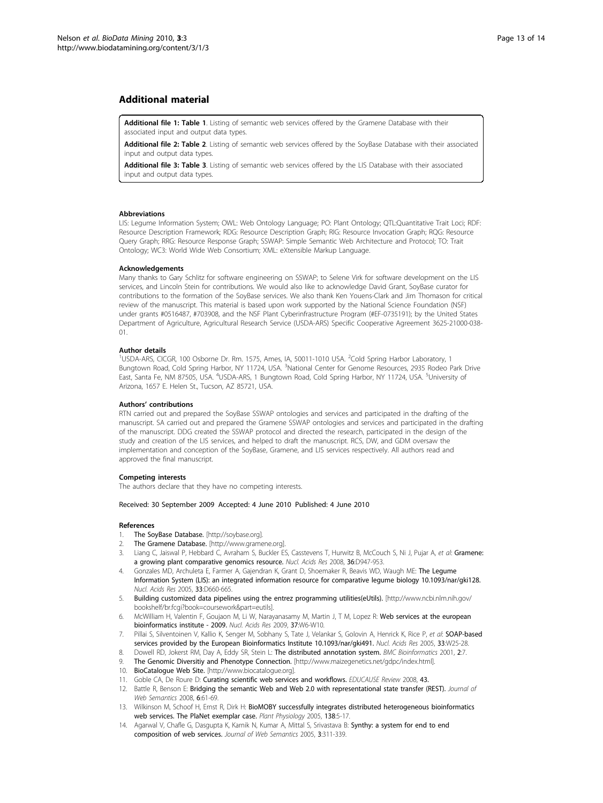# <span id="page-12-0"></span>Additional material

[Additional file 1: T](http://www.biomedcentral.com/content/supplementary/1756-0381-3-3-S1.PDF)able 1. Listing of semantic web services offered by the Gramene Database with their associated input and output data types.

[Additional file 2:](http://www.biomedcentral.com/content/supplementary/1756-0381-3-3-S2.PDF) Table 2. Listing of semantic web services offered by the SoyBase Database with their associated input and output data types.

[Additional file 3: T](http://www.biomedcentral.com/content/supplementary/1756-0381-3-3-S3.PDF)able 3. Listing of semantic web services offered by the LIS Database with their associated input and output data types.

#### Abbreviations

LIS: Legume Information System; OWL: Web Ontology Language; PO: Plant Ontology; QTL:Quantitative Trait Loci; RDF: Resource Description Framework; RDG: Resource Description Graph; RIG: Resource Invocation Graph; RQG: Resource Query Graph; RRG: Resource Response Graph; SSWAP: Simple Semantic Web Architecture and Protocol; TO: Trait Ontology; WC3: World Wide Web Consortium; XML: eXtensible Markup Language.

#### Acknowledgements

Many thanks to Gary Schlitz for software engineering on SSWAP; to Selene Virk for software development on the LIS services, and Lincoln Stein for contributions. We would also like to acknowledge David Grant, SoyBase curator for contributions to the formation of the SoyBase services. We also thank Ken Youens-Clark and Jim Thomason for critical review of the manuscript. This material is based upon work supported by the National Science Foundation (NSF) under grants #0516487, #703908, and the NSF Plant Cyberinfrastructure Program (#EF-0735191); by the United States Department of Agriculture, Agricultural Research Service (USDA-ARS) Specific Cooperative Agreement 3625-21000-038- 01.

#### Author details

<sup>1</sup>USDA-ARS, CICGR, 100 Osborne Dr. Rm. 1575, Ames, IA, 50011-1010 USA. <sup>2</sup>Cold Spring Harbor Laboratory, 1 Bungtown Road, Cold Spring Harbor, NY 11724, USA. <sup>3</sup>National Center for Genome Resources, 2935 Rodeo Park Drive East, Santa Fe, NM 87505, USA. <sup>4</sup>USDA-ARS, 1 Bungtown Road, Cold Spring Harbor, NY 11724, USA. <sup>5</sup>University of Arizona, 1657 E. Helen St., Tucson, AZ 85721, USA.

#### Authors' contributions

RTN carried out and prepared the SoyBase SSWAP ontologies and services and participated in the drafting of the manuscript. SA carried out and prepared the Gramene SSWAP ontologies and services and participated in the drafting of the manuscript. DDG created the SSWAP protocol and directed the research, participated in the design of the study and creation of the LIS services, and helped to draft the manuscript. RCS, DW, and GDM oversaw the implementation and conception of the SoyBase, Gramene, and LIS services respectively. All authors read and approved the final manuscript.

#### Competing interests

The authors declare that they have no competing interests.

#### Received: 30 September 2009 Accepted: 4 June 2010 Published: 4 June 2010

#### References

- The SoyBase Database. [[http://soybase.org\]](http://soybase.org).
- The Gramene Database. [<http://www.gramene.org>].
- 3. Liang C, Jaiswal P, Hebbard C, Avraham S, Buckler ES, Casstevens T, Hurwitz B, McCouch S, Ni J, Pujar A, et al: Gramene: a growing plant comparative genomics resource. Nucl. Acids Res 2008, 36:D947-953.
- 4. Gonzales MD, Archuleta E, Farmer A, Gajendran K, Grant D, Shoemaker R, Beavis WD, Waugh ME: The Legume Information System (LIS): an integrated information resource for comparative legume biology 10.1093/nar/gki128. Nucl. Acids Res 2005, 33:D660-665.
- 5. Building customized data pipelines using the entrez programming utilities(eUtils). [[http://www.ncbi.nlm.nih.gov/](http://www.ncbi.nlm.nih.gov/bookshelf/br.fcgi?book=coursework&part=eutils) [bookshelf/br.fcgi?book=coursework&part=eutils\]](http://www.ncbi.nlm.nih.gov/bookshelf/br.fcgi?book=coursework&part=eutils).
- 6. McWilliam H, Valentin F, Goujaon M, Li W, Narayanasamy M, Martin J, T M, Lopez R: Web services at the european bioinformatics institute - 2009. Nucl. Acids Res 2009, 37:W6-W10.
- 7. Pillai S, Silventoinen V, Kallio K, Senger M, Sobhany S, Tate J, Velankar S, Golovin A, Henrick K, Rice P, et al: SOAP-based services provided by the European Bioinformatics Institute 10.1093/nar/gki491. Nucl. Acids Res 2005, 33:W25-28.
- 8. Dowell RD, Jokerst RM, Day A, Eddy SR, Stein L: [The distributed annotation system.](http://www.ncbi.nlm.nih.gov/pubmed/11667947?dopt=Abstract) BMC Bioinformatics 2001, 2:7.
- 9. The Genomic Diversitiy and Phenotype Connection. [\[http://www.maizegenetics.net/gdpc/index.html\]](http://www.maizegenetics.net/gdpc/index.html).
- 10. BioCatalogue Web Site. [[http://www.biocatalogue.org\]](http://www.biocatalogue.org).
- 11. Goble CA, De Roure D: Curating scientific web services and workflows. EDUCAUSE Review 2008, 43.
- 12. Battle R, Benson E: Bridging the semantic Web and Web 2.0 with representational state transfer (REST). Journal of Web Semantics 2008, 6:61-69.
- 13. Wilkinson M, Schoof H, Ernst R, Dirk H: [BioMOBY successfully integrates distributed heterogeneous bioinformatics](http://www.ncbi.nlm.nih.gov/pubmed/15888673?dopt=Abstract) [web services. The PlaNet exemplar case.](http://www.ncbi.nlm.nih.gov/pubmed/15888673?dopt=Abstract) Plant Physiology 2005, 138:5-17.
- 14. Agarwal V, Chafle G, Dasgupta K, Karnik N, Kumar A, Mittal S, Srivastava B: Synthy: a system for end to end composition of web services. Journal of Web Semantics 2005, 3:311-339.